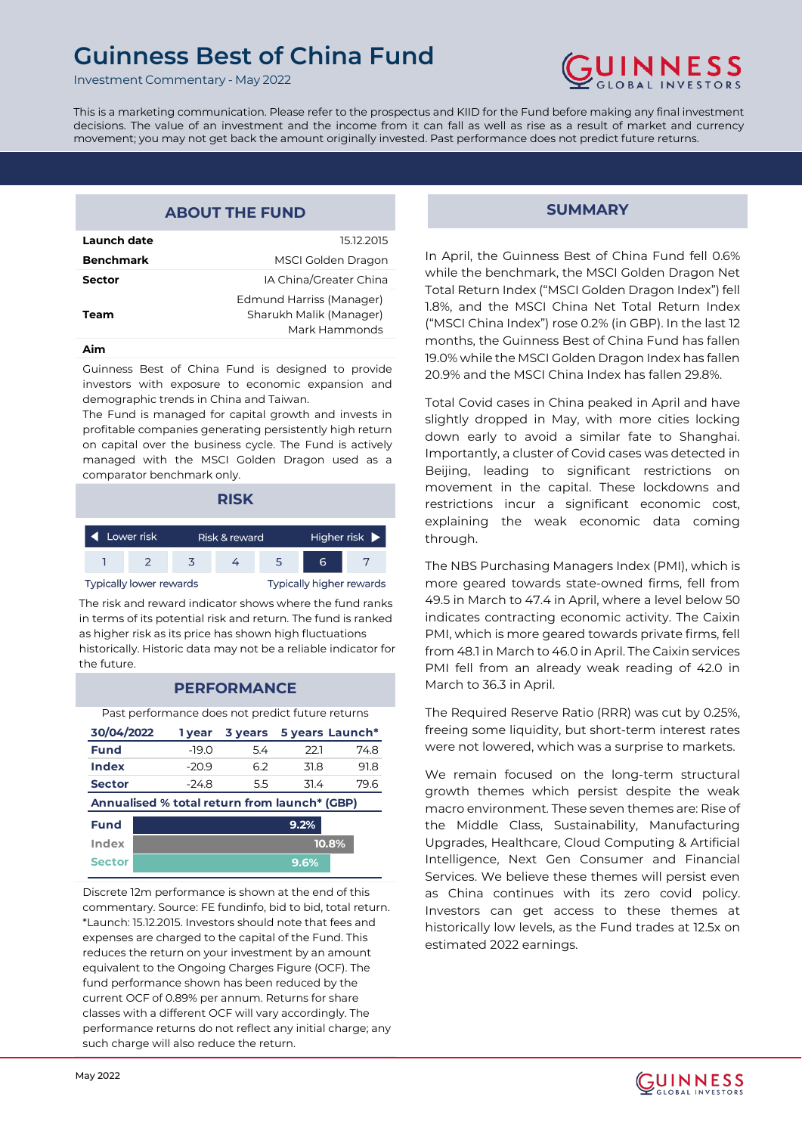Investment Commentary - May 2022



This is a marketing communication. Please refer to the prospectus and KIID for the Fund before making any final investment decisions. The value of an investment and the income from it can fall as well as rise as a result of market and currency movement; you may not get back the amount originally invested. Past performance does not predict future returns.

# **ABOUT THE FUND**

| Launch date      | 15.12.2015                                                           |
|------------------|----------------------------------------------------------------------|
| <b>Benchmark</b> | MSCI Golden Dragon                                                   |
| Sector           | IA China/Greater China                                               |
| Team             | Edmund Harriss (Manager)<br>Sharukh Malik (Manager)<br>Mark Hammonds |
|                  |                                                                      |

#### **Aim**

Guinness Best of China Fund is designed to provide investors with exposure to economic expansion and demographic trends in China and Taiwan.

The Fund is managed for capital growth and invests in profitable companies generating persistently high return on capital over the business cycle. The Fund is actively managed with the MSCI Golden Dragon used as a comparator benchmark only.



The risk and reward indicator shows where the fund ranks in terms of its potential risk and return. The fund is ranked as higher risk as its price has shown high fluctuations historically. Historic data may not be a reliable indicator for the future.

## **PERFORMANCE**

Past performance does not predict future returns

| 30/04/2022                                   |  | 1 vear  | <b>3 years</b> |      | 5 years Launch* |
|----------------------------------------------|--|---------|----------------|------|-----------------|
| Fund                                         |  | $-19.0$ | 5.4            | 22.1 | 74.8            |
| Index                                        |  | $-20.9$ | 62             | 31.8 | 91.8            |
| <b>Sector</b>                                |  | -24.8   | 5.5            | 31.4 | 79.6            |
| Annualised % total return from launch* (GBP) |  |         |                |      |                 |
| <b>Fund</b>                                  |  |         |                | 9.2% |                 |
| Index                                        |  |         |                |      | 10.8%           |
| <b>Sector</b>                                |  |         |                | 9.6% |                 |

Discrete 12m performance is shown at the end of this commentary. Source: FE fundinfo, bid to bid, total return. \*Launch: 15.12.2015. Investors should note that fees and expenses are charged to the capital of the Fund. This reduces the return on your investment by an amount equivalent to the Ongoing Charges Figure (OCF). The fund performance shown has been reduced by the current OCF of 0.89% per annum. Returns for share classes with a different OCF will vary accordingly. The performance returns do not reflect any initial charge; any such charge will also reduce the return.

## **SUMMARY**

In April, the Guinness Best of China Fund fell 0.6% while the benchmark, the MSCI Golden Dragon Net Total Return Index ("MSCI Golden Dragon Index") fell 1.8%, and the MSCI China Net Total Return Index ("MSCI China Index") rose 0.2% (in GBP). In the last 12 months, the Guinness Best of China Fund has fallen 19.0% while the MSCI Golden Dragon Index has fallen 20.9% and the MSCI China Index has fallen 29.8%.

Total Covid cases in China peaked in April and have slightly dropped in May, with more cities locking down early to avoid a similar fate to Shanghai. Importantly, a cluster of Covid cases was detected in Beijing, leading to significant restrictions on movement in the capital. These lockdowns and restrictions incur a significant economic cost, explaining the weak economic data coming through.

The NBS Purchasing Managers Index (PMI), which is more geared towards state-owned firms, fell from 49.5 in March to 47.4 in April, where a level below 50 indicates contracting economic activity. The Caixin PMI, which is more geared towards private firms, fell from 48.1 in March to 46.0 in April. The Caixin services PMI fell from an already weak reading of 42.0 in March to 36.3 in April.

The Required Reserve Ratio (RRR) was cut by 0.25%, freeing some liquidity, but short-term interest rates were not lowered, which was a surprise to markets.

We remain focused on the long-term structural growth themes which persist despite the weak macro environment. These seven themes are: Rise of the Middle Class, Sustainability, Manufacturing Upgrades, Healthcare, Cloud Computing & Artificial Intelligence, Next Gen Consumer and Financial Services. We believe these themes will persist even as China continues with its zero covid policy. Investors can get access to these themes at historically low levels, as the Fund trades at 12.5x on estimated 2022 earnings.

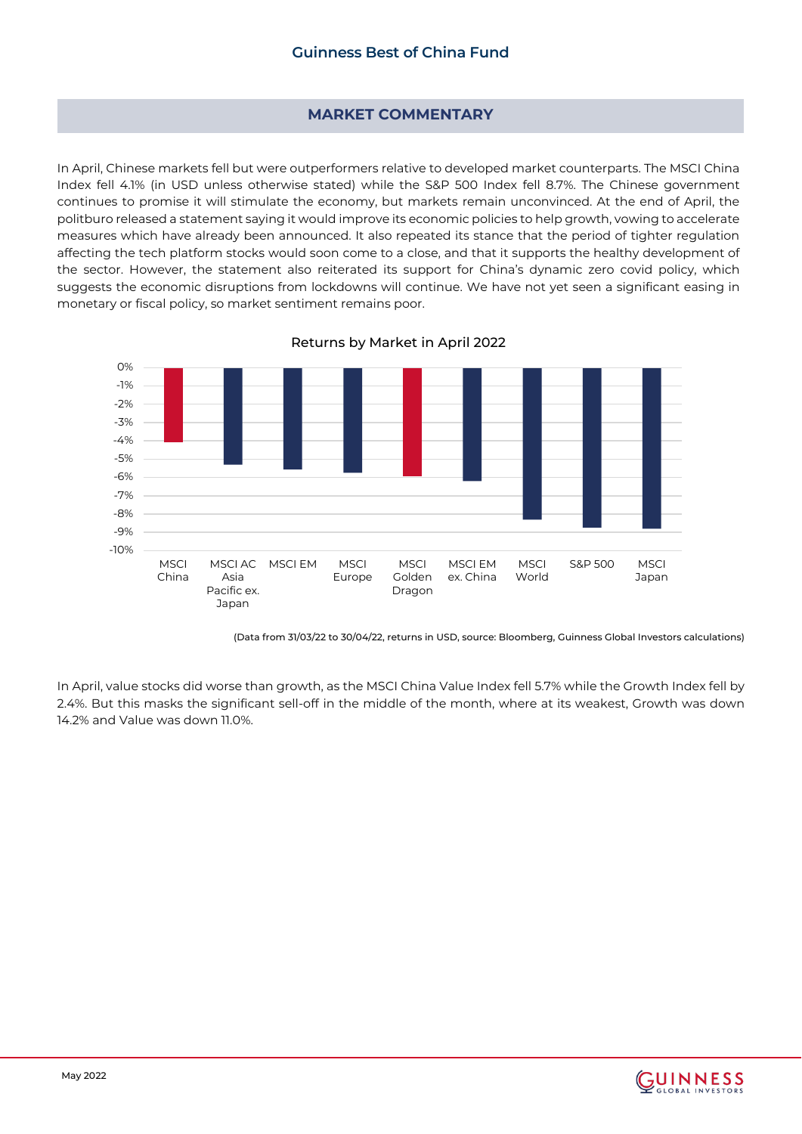# **MARKET COMMENTARY**

In April, Chinese markets fell but were outperformers relative to developed market counterparts. The MSCI China Index fell 4.1% (in USD unless otherwise stated) while the S&P 500 Index fell 8.7%. The Chinese government continues to promise it will stimulate the economy, but markets remain unconvinced. At the end of April, the politburo released a statement saying it would improve its economic policies to help growth, vowing to accelerate measures which have already been announced. It also repeated its stance that the period of tighter regulation affecting the tech platform stocks would soon come to a close, and that it supports the healthy development of the sector. However, the statement also reiterated its support for China's dynamic zero covid policy, which suggests the economic disruptions from lockdowns will continue. We have not yet seen a significant easing in monetary or fiscal policy, so market sentiment remains poor.



Returns by Market in April 2022

In April, value stocks did worse than growth, as the MSCI China Value Index fell 5.7% while the Growth Index fell by 2.4%. But this masks the significant sell-off in the middle of the month, where at its weakest, Growth was down 14.2% and Value was down 11.0%.



<sup>(</sup>Data from 31/03/22 to 30/04/22, returns in USD, source: Bloomberg, Guinness Global Investors calculations)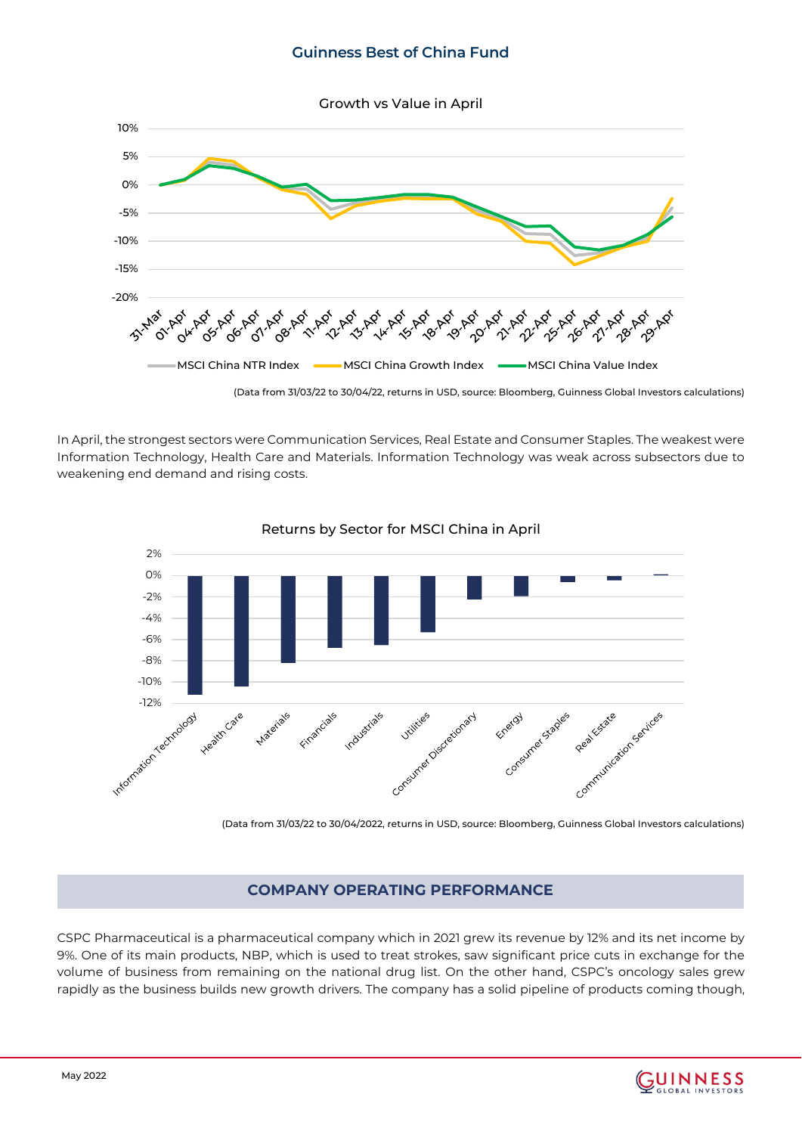Growth vs Value in April



In April, the strongest sectors were Communication Services, Real Estate and Consumer Staples. The weakest were Information Technology, Health Care and Materials. Information Technology was weak across subsectors due to weakening end demand and rising costs.



Returns by Sector for MSCI China in April

(Data from 31/03/22 to 30/04/2022, returns in USD, source: Bloomberg, Guinness Global Investors calculations)

# **COMPANY OPERATING PERFORMANCE**

CSPC Pharmaceutical is a pharmaceutical company which in 2021 grew its revenue by 12% and its net income by 9%. One of its main products, NBP, which is used to treat strokes, saw significant price cuts in exchange for the volume of business from remaining on the national drug list. On the other hand, CSPC's oncology sales grew rapidly as the business builds new growth drivers. The company has a solid pipeline of products coming though,

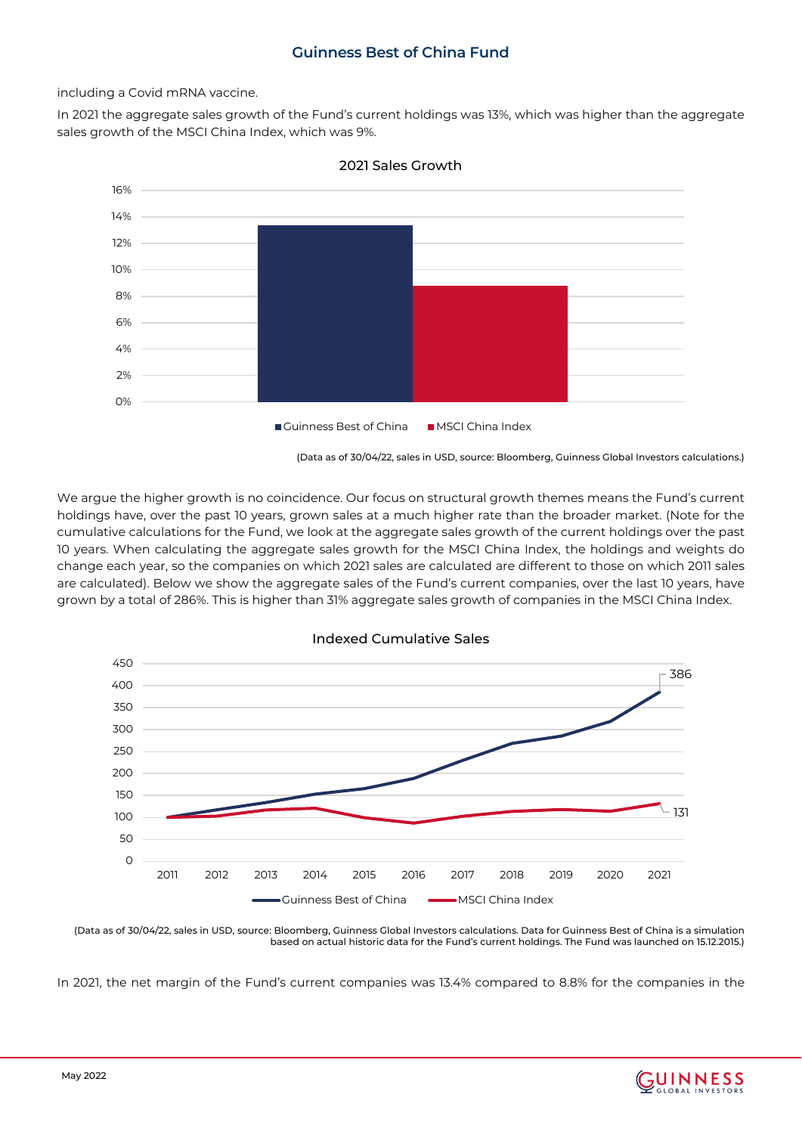including a Covid mRNA vaccine.

In 2021 the aggregate sales growth of the Fund's current holdings was 13%, which was higher than the aggregate sales growth of the MSCI China Index, which was 9%.



2021 Sales Growth

(Data as of 30/04/22, sales in USD, source: Bloomberg, Guinness Global Investors calculations.)

We argue the higher growth is no coincidence. Our focus on structural growth themes means the Fund's current holdings have, over the past 10 years, grown sales at a much higher rate than the broader market. (Note for the cumulative calculations for the Fund, we look at the aggregate sales growth of the current holdings over the past 10 years. When calculating the aggregate sales growth for the MSCI China Index, the holdings and weights do change each year, so the companies on which 2021 sales are calculated are different to those on which 2011 sales are calculated). Below we show the aggregate sales of the Fund's current companies, over the last 10 years, have grown by a total of 286%. This is higher than 31% aggregate sales growth of companies in the MSCI China Index.



Indexed Cumulative Sales

(Data as of 30/04/22, sales in USD, source: Bloomberg, Guinness Global Investors calculations. Data for Guinness Best of China is a simulation based on actual historic data for the Fund's current holdings. The Fund was launched on 15.12.2015.)

In 2021, the net margin of the Fund's current companies was 13.4% compared to 8.8% for the companies in the

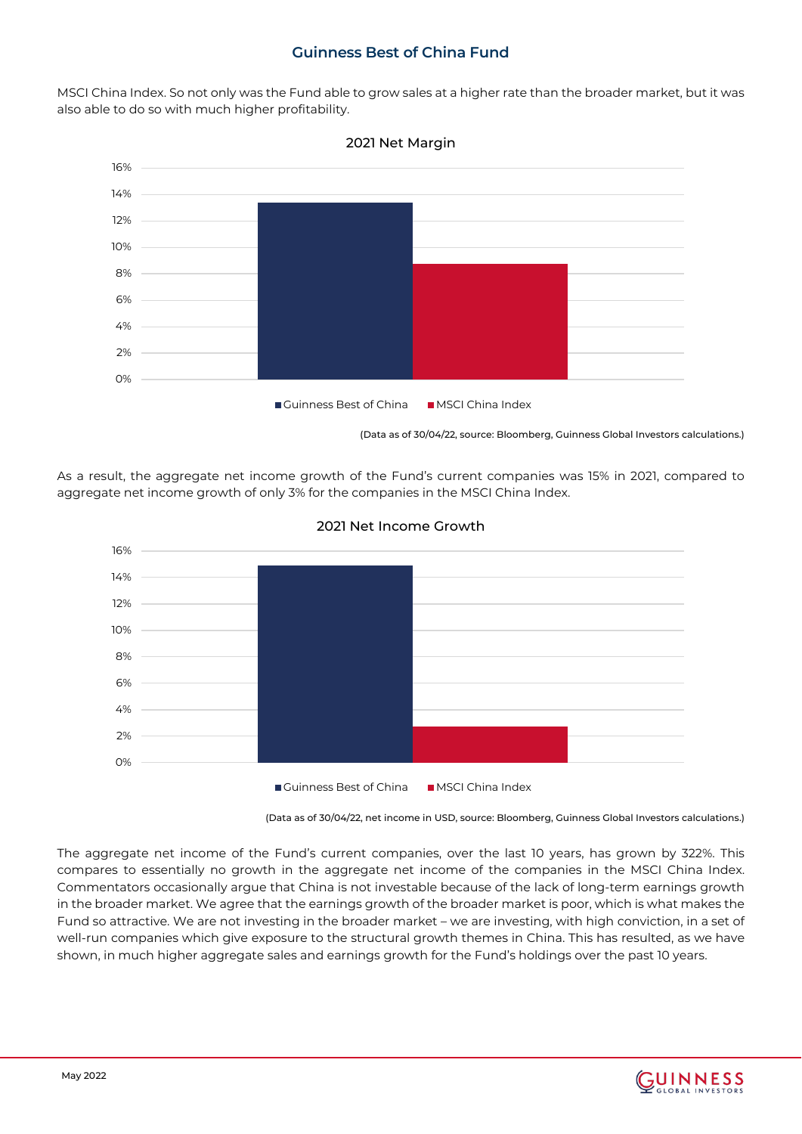MSCI China Index. So not only was the Fund able to grow sales at a higher rate than the broader market, but it was also able to do so with much higher profitability.



2021 Net Margin

(Data as of 30/04/22, source: Bloomberg, Guinness Global Investors calculations.)

As a result, the aggregate net income growth of the Fund's current companies was 15% in 2021, compared to aggregate net income growth of only 3% for the companies in the MSCI China Index.



2021 Net Income Growth

(Data as of 30/04/22, net income in USD, source: Bloomberg, Guinness Global Investors calculations.)

The aggregate net income of the Fund's current companies, over the last 10 years, has grown by 322%. This compares to essentially no growth in the aggregate net income of the companies in the MSCI China Index. Commentators occasionally argue that China is not investable because of the lack of long-term earnings growth in the broader market. We agree that the earnings growth of the broader market is poor, which is what makes the Fund so attractive. We are not investing in the broader market – we are investing, with high conviction, in a set of well-run companies which give exposure to the structural growth themes in China. This has resulted, as we have shown, in much higher aggregate sales and earnings growth for the Fund's holdings over the past 10 years.

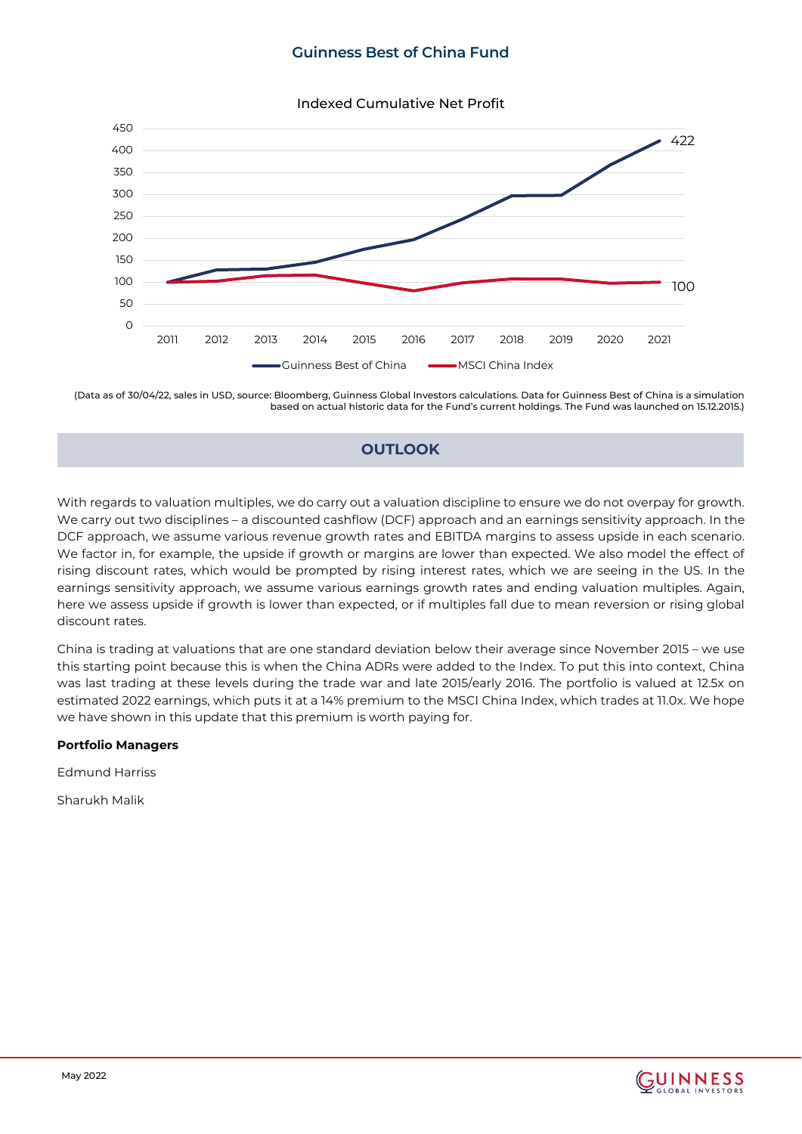## Indexed Cumulative Net Profit



<sup>(</sup>Data as of 30/04/22, sales in USD, source: Bloomberg, Guinness Global Investors calculations. Data for Guinness Best of China is a simulation based on actual historic data for the Fund's current holdings. The Fund was launched on 15.12.2015.)

## **OUTLOOK**

With regards to valuation multiples, we do carry out a valuation discipline to ensure we do not overpay for growth. We carry out two disciplines – a discounted cashflow (DCF) approach and an earnings sensitivity approach. In the DCF approach, we assume various revenue growth rates and EBITDA margins to assess upside in each scenario. We factor in, for example, the upside if growth or margins are lower than expected. We also model the effect of rising discount rates, which would be prompted by rising interest rates, which we are seeing in the US. In the earnings sensitivity approach, we assume various earnings growth rates and ending valuation multiples. Again, here we assess upside if growth is lower than expected, or if multiples fall due to mean reversion or rising global discount rates.

China is trading at valuations that are one standard deviation below their average since November 2015 – we use this starting point because this is when the China ADRs were added to the Index. To put this into context, China was last trading at these levels during the trade war and late 2015/early 2016. The portfolio is valued at 12.5x on estimated 2022 earnings, which puts it at a 14% premium to the MSCI China Index, which trades at 11.0x. We hope we have shown in this update that this premium is worth paying for.

## **Portfolio Managers**

Edmund Harriss

Sharukh Malik

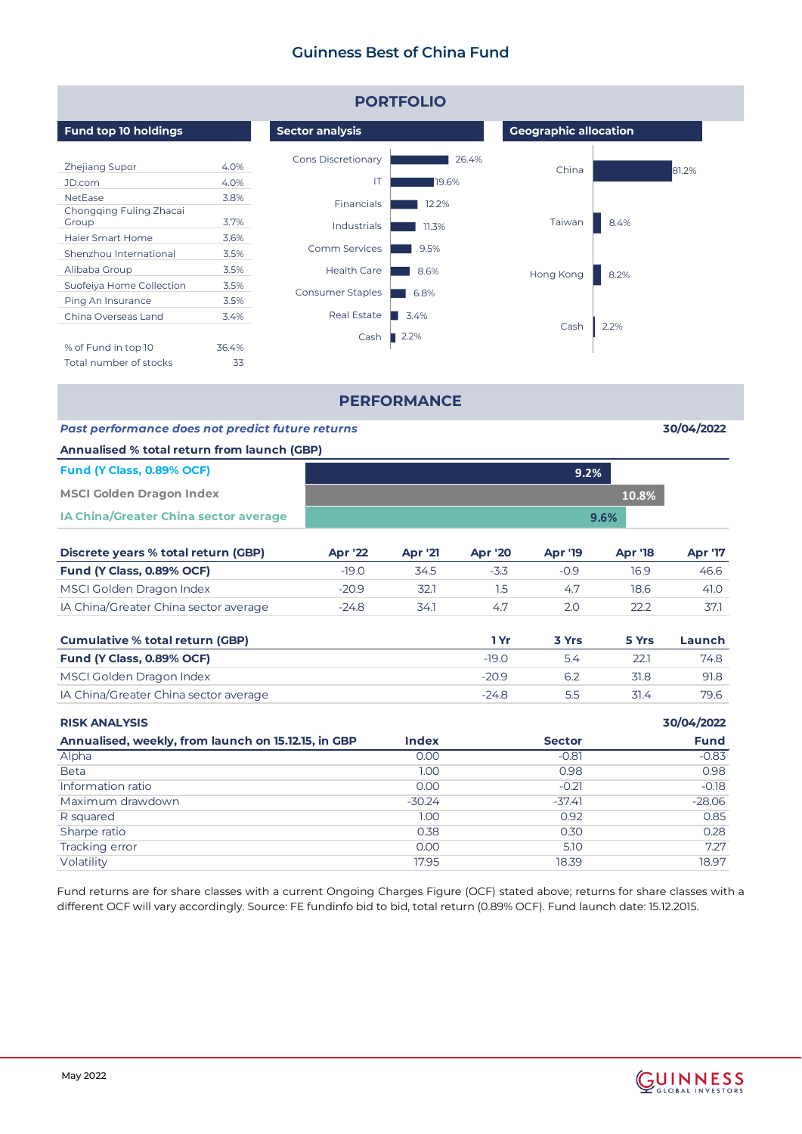

Fund returns are for share classes with a current Ongoing Charges Figure (OCF) stated above; returns for share classes with a different OCF will vary accordingly. Source: FE fundinfo bid to bid, total return (0.89% OCF). Fund launch date: 15.12.2015.